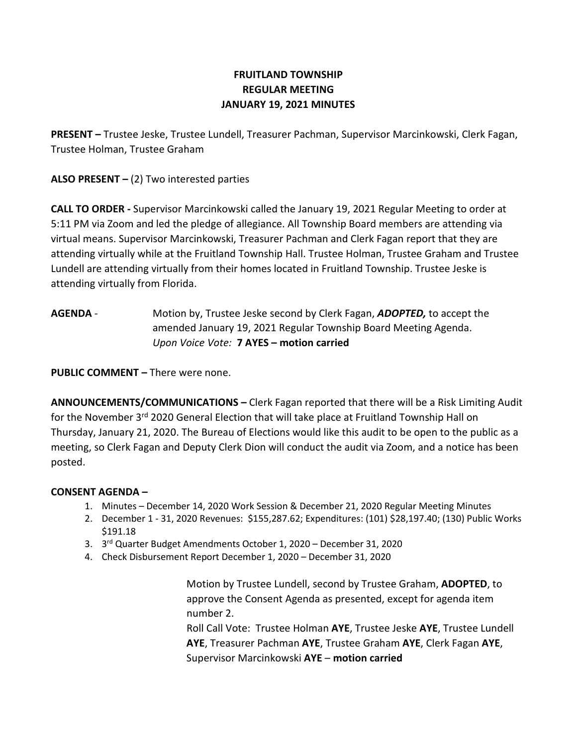# FRUITLAND TOWNSHIP REGULAR MEETING JANUARY 19, 2021 MINUTES

PRESENT – Trustee Jeske, Trustee Lundell, Treasurer Pachman, Supervisor Marcinkowski, Clerk Fagan, Trustee Holman, Trustee Graham

ALSO PRESENT  $-$  (2) Two interested parties

CALL TO ORDER - Supervisor Marcinkowski called the January 19, 2021 Regular Meeting to order at 5:11 PM via Zoom and led the pledge of allegiance. All Township Board members are attending via virtual means. Supervisor Marcinkowski, Treasurer Pachman and Clerk Fagan report that they are attending virtually while at the Fruitland Township Hall. Trustee Holman, Trustee Graham and Trustee Lundell are attending virtually from their homes located in Fruitland Township. Trustee Jeske is attending virtually from Florida.

AGENDA - Motion by, Trustee Jeske second by Clerk Fagan, ADOPTED, to accept the amended January 19, 2021 Regular Township Board Meeting Agenda. Upon Voice Vote: 7 AYES – motion carried

PUBLIC COMMENT – There were none.

ANNOUNCEMENTS/COMMUNICATIONS – Clerk Fagan reported that there will be a Risk Limiting Audit for the November  $3<sup>rd</sup>$  2020 General Election that will take place at Fruitland Township Hall on Thursday, January 21, 2020. The Bureau of Elections would like this audit to be open to the public as a meeting, so Clerk Fagan and Deputy Clerk Dion will conduct the audit via Zoom, and a notice has been posted.

# CONSENT AGENDA –

- 1. Minutes December 14, 2020 Work Session & December 21, 2020 Regular Meeting Minutes
- 2. December 1 31, 2020 Revenues: \$155,287.62; Expenditures: (101) \$28,197.40; (130) Public Works \$191.18
- 3. 3<sup>rd</sup> Quarter Budget Amendments October 1, 2020 December 31, 2020
- 4. Check Disbursement Report December 1, 2020 December 31, 2020

Motion by Trustee Lundell, second by Trustee Graham, ADOPTED, to approve the Consent Agenda as presented, except for agenda item number 2.

Roll Call Vote: Trustee Holman AYE, Trustee Jeske AYE, Trustee Lundell AYE, Treasurer Pachman AYE, Trustee Graham AYE, Clerk Fagan AYE, Supervisor Marcinkowski AYE - motion carried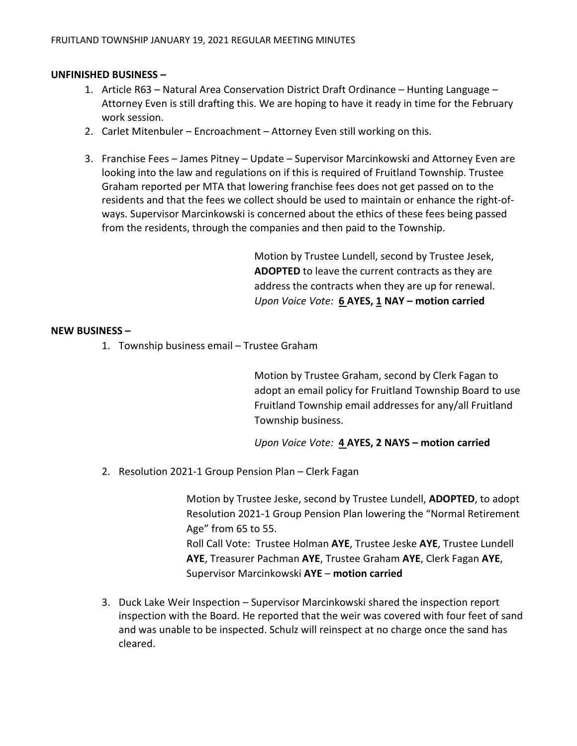## UNFINISHED BUSINESS –

- 1. Article R63 Natural Area Conservation District Draft Ordinance Hunting Language Attorney Even is still drafting this. We are hoping to have it ready in time for the February work session.
- 2. Carlet Mitenbuler Encroachment Attorney Even still working on this.
- 3. Franchise Fees James Pitney Update Supervisor Marcinkowski and Attorney Even are looking into the law and regulations on if this is required of Fruitland Township. Trustee Graham reported per MTA that lowering franchise fees does not get passed on to the residents and that the fees we collect should be used to maintain or enhance the right-ofways. Supervisor Marcinkowski is concerned about the ethics of these fees being passed from the residents, through the companies and then paid to the Township.

Motion by Trustee Lundell, second by Trustee Jesek, ADOPTED to leave the current contracts as they are address the contracts when they are up for renewal. Upon Voice Vote: 6 AYES, 1 NAY – motion carried

#### NEW BUSINESS –

1. Township business email – Trustee Graham

Motion by Trustee Graham, second by Clerk Fagan to adopt an email policy for Fruitland Township Board to use Fruitland Township email addresses for any/all Fruitland Township business.

Upon Voice Vote: 4 AYES, 2 NAYS - motion carried

2. Resolution 2021-1 Group Pension Plan – Clerk Fagan

Motion by Trustee Jeske, second by Trustee Lundell, ADOPTED, to adopt Resolution 2021-1 Group Pension Plan lowering the "Normal Retirement Age" from 65 to 55.

Roll Call Vote: Trustee Holman AYE, Trustee Jeske AYE, Trustee Lundell AYE, Treasurer Pachman AYE, Trustee Graham AYE, Clerk Fagan AYE, Supervisor Marcinkowski AYE – motion carried

3. Duck Lake Weir Inspection – Supervisor Marcinkowski shared the inspection report inspection with the Board. He reported that the weir was covered with four feet of sand and was unable to be inspected. Schulz will reinspect at no charge once the sand has cleared.